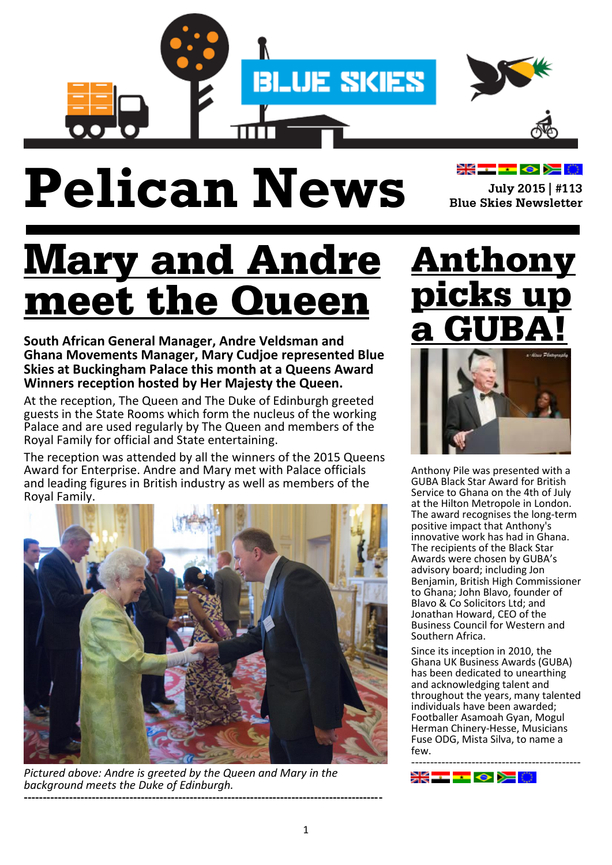

# **Pelican News**

July 2015 | #113 **Blue Skies Newsletter** 

**XK--- 0 > 0** 

#### **Mary and Andre** l**eet t**] e Queel

**South African General Manager, Andre Veldsman and Ghana Movements Manager, Mary Cudjoe represented Blue Skies at Buckingham Palace this month at a Queens Award Winners reception hosted by Her Majesty the Queen.** 

At the reception, The Queen and The Duke of Edinburgh greeted guests in the State Rooms which form the nucleus of the working Palace and are used regularly by The Queen and members of the Royal Family for official and State entertaining.

The reception was attended by all the winners of the 2015 Queens Award for Enterprise. Andre and Mary met with Palace officials and leading figures in British industry as well as members of the Royal Family.



*Pictured above: Andre is greeted by the Queen and Mary in the background meets the Duke of Edinburgh.* **-----------------------------------------------------------------------------------------------**

# **Anthony**



Anthony Pile was presented with a GUBA Black Star Award for British Service to Ghana on the 4th of July at the Hilton Metropole in London. The award recognises the long-term positive impact that Anthony's innovative work has had in Ghana. The recipients of the Black Star Awards were chosen by GUBA's advisory board; including Jon Benjamin, British High Commissioner to Ghana; John Blavo, founder of Blavo & Co Solicitors Ltd; and Jonathan Howard, CEO of the Business Council for Western and Southern Africa.

Since its inception in 2010, the Ghana UK Business Awards (GUBA) has been dedicated to unearthing and acknowledging talent and throughout the years, many talented individuals have been awarded; Footballer Asamoah Gyan, Mogul Herman Chinery-Hesse, Musicians Fuse ODG, Mista Silva, to name a few. ---------------------------------------------

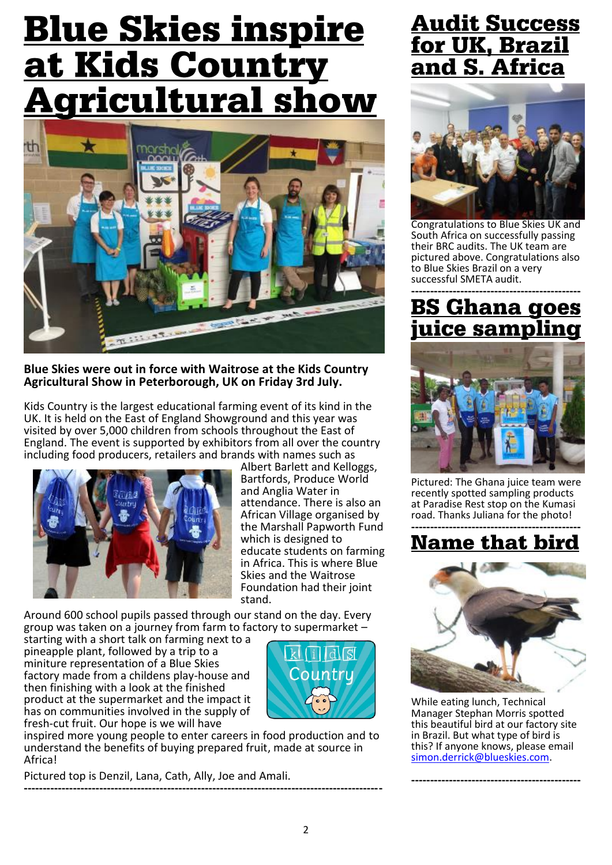## **Blue Skies inspire** at Kids Country **gricultural show**



**Blue Skies were out in force with Waitrose at the Kids Country Agricultural Show in Peterborough, UK on Friday 3rd July.** 

Kids Country is the largest educational farming event of its kind in the UK. It is held on the East of England Showground and this year was visited by over 5,000 children from schools throughout the East of England. The event is supported by exhibitors from all over the country including food producers, retailers and brands with names such as



Albert Barlett and Kelloggs, Bartfords, Produce World and Anglia Water in attendance. There is also an African Village organised by the Marshall Papworth Fund which is designed to educate students on farming in Africa. This is where Blue Skies and the Waitrose Foundation had their joint stand.

Around 600 school pupils passed through our stand on the day. Every group was taken on a journey from farm to factory to supermarket –

starting with a short talk on farming next to a pineapple plant, followed by a trip to a miniture representation of a Blue Skies factory made from a childens play-house and then finishing with a look at the finished product at the supermarket and the impact it has on communities involved in the supply of fresh-cut fruit. Our hope is we will have



inspired more young people to enter careers in food production and to understand the benefits of buying prepared fruit, made at source in Africa!

Pictured top is Denzil, Lana, Cath, Ally, Joe and Amali. **-----------------------------------------------------------------------------------------------**

#### **Audit Success** <u>for UK, Brazil</u> and S. Africa



Congratulations to Blue Skies UK and South Africa on successfully passing their BRC audits. The UK team are pictured above. Congratulations also to Blue Skies Brazil on a very successful SMETA audit.

#### **--------------------------------------------** ice samn



Pictured: The Ghana juice team were recently spotted sampling products at Paradise Rest stop on the Kumasi road. Thanks Juliana for the photo!

#### **--------------------------------------------- Name that bird**



While eating lunch, Technical Manager Stephan Morris spotted this beautiful bird at our factory site in Brazil. But what type of bird is this? If anyone knows, please email [simon.derrick@blueskies.com.](mailto:simon.derrick@blueskies.com)

**---------------------------------------------**